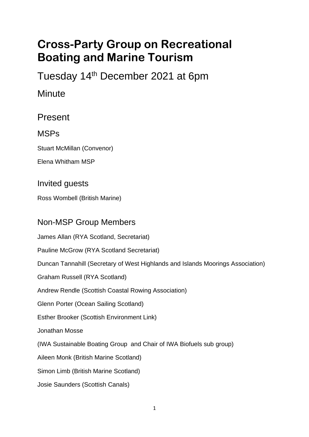# **Cross-Party Group on Recreational Boating and Marine Tourism**

Tuesday 14th December 2021 at 6pm

**Minute** 

Present

MSPs

Stuart McMillan (Convenor)

Elena Whitham MSP

Invited guests

Ross Wombell (British Marine)

### Non-MSP Group Members

James Allan (RYA Scotland, Secretariat) Pauline McGrow (RYA Scotland Secretariat) Duncan Tannahill (Secretary of West Highlands and Islands Moorings Association) Graham Russell (RYA Scotland) Andrew Rendle (Scottish Coastal Rowing Association) Glenn Porter (Ocean Sailing Scotland) Esther Brooker (Scottish Environment Link) Jonathan Mosse (IWA Sustainable Boating Group and Chair of IWA Biofuels sub group) Aileen Monk (British Marine Scotland) Simon Limb (British Marine Scotland) Josie Saunders (Scottish Canals)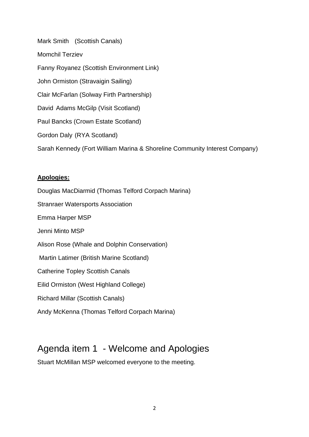Mark Smith (Scottish Canals) Momchil Terziev Fanny Royanez (Scottish Environment Link) John Ormiston (Stravaigin Sailing) Clair McFarlan (Solway Firth Partnership) David Adams McGilp (Visit Scotland) Paul Bancks (Crown Estate Scotland) Gordon Daly (RYA Scotland) Sarah Kennedy (Fort William Marina & Shoreline Community Interest Company)

#### **Apologies:**

Douglas MacDiarmid (Thomas Telford Corpach Marina) Stranraer Watersports Association Emma Harper MSP Jenni Minto MSP Alison Rose (Whale and Dolphin Conservation) Martin Latimer (British Marine Scotland) Catherine Topley Scottish Canals Eilid Ormiston (West Highland College) Richard Millar (Scottish Canals) Andy McKenna (Thomas Telford Corpach Marina)

### Agenda item 1 - Welcome and Apologies

Stuart McMillan MSP welcomed everyone to the meeting.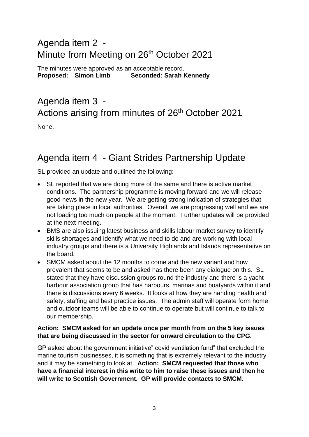### Agenda item 2 - Minute from Meeting on 26<sup>th</sup> October 2021

The minutes were approved as an acceptable record. **Proposed: Simon Limb Seconded: Sarah Kennedy**

## Agenda item 3 - Actions arising from minutes of 26<sup>th</sup> October 2021

None.

### Agenda item 4 - Giant Strides Partnership Update

SL provided an update and outlined the following:

- SL reported that we are doing more of the same and there is active market conditions. The partnership programme is moving forward and we will release good news in the new year. We are getting strong indication of strategies that are taking place in local authorities. Overall, we are progressing well and we are not loading too much on people at the moment. Further updates will be provided at the next meeting.
- BMS are also issuing latest business and skills labour market survey to identify skills shortages and identify what we need to do and are working with local industry groups and there is a University Highlands and Islands representative on the board.
- SMCM asked about the 12 months to come and the new variant and how prevalent that seems to be and asked has there been any dialogue on this. SL stated that they have discussion groups round the industry and there is a yacht harbour association group that has harbours, marinas and boatyards within it and there is discussions every 6 weeks. It looks at how they are handing health and safety, staffing and best practice issues. The admin staff will operate form home and outdoor teams will be able to continue to operate but will continue to talk to our membership.

#### **Action: SMCM asked for an update once per month from on the 5 key issues that are being discussed in the sector for onward circulation to the CPG.**

GP asked about the government initiative" covid ventilation fund" that excluded the marine tourism businesses, it is something that is extremely relevant to the industry and it may be something to look at. **Action: SMCM requested that those who have a financial interest in this write to him to raise these issues and then he will write to Scottish Government. GP will provide contacts to SMCM.**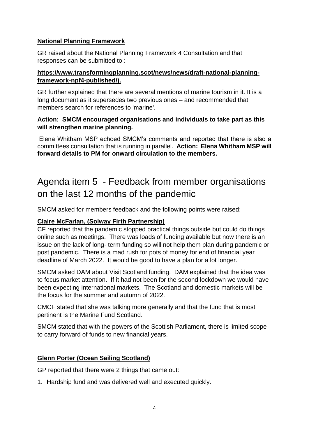#### **National Planning Framework**

GR raised about the National Planning Framework 4 Consultation and that responses can be submitted to :

#### **https://www.transformingplanning.scot/news/news/draft-national-planningframework-npf4-published/).**

GR further explained that there are several mentions of marine tourism in it. It is a long document as it supersedes two previous ones – and recommended that members search for references to 'marine'.

#### **Action: SMCM encouraged organisations and individuals to take part as this will strengthen marine planning.**

Elena Whitham MSP echoed SMCM's comments and reported that there is also a committees consultation that is running in parallel. **Action: Elena Whitham MSP will forward details to PM for onward circulation to the members.**

## Agenda item 5 - Feedback from member organisations on the last 12 months of the pandemic

SMCM asked for members feedback and the following points were raised:

#### **Claire McFarlan, (Solway Firth Partnership)**

CF reported that the pandemic stopped practical things outside but could do things online such as meetings. There was loads of funding available but now there is an issue on the lack of long- term funding so will not help them plan during pandemic or post pandemic. There is a mad rush for pots of money for end of financial year deadline of March 2022. It would be good to have a plan for a lot longer.

SMCM asked DAM about Visit Scotland funding. DAM explained that the idea was to focus market attention. If it had not been for the second lockdown we would have been expecting international markets. The Scotland and domestic markets will be the focus for the summer and autumn of 2022.

CMCF stated that she was talking more generally and that the fund that is most pertinent is the Marine Fund Scotland.

SMCM stated that with the powers of the Scottish Parliament, there is limited scope to carry forward of funds to new financial years.

#### **Glenn Porter (Ocean Sailing Scotland)**

GP reported that there were 2 things that came out:

1. Hardship fund and was delivered well and executed quickly.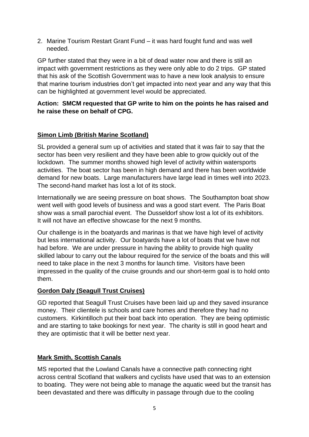2. Marine Tourism Restart Grant Fund – it was hard fought fund and was well needed.

GP further stated that they were in a bit of dead water now and there is still an impact with government restrictions as they were only able to do 2 trips. GP stated that his ask of the Scottish Government was to have a new look analysis to ensure that marine tourism industries don't get impacted into next year and any way that this can be highlighted at government level would be appreciated.

#### **Action: SMCM requested that GP write to him on the points he has raised and he raise these on behalf of CPG.**

#### **Simon Limb (British Marine Scotland)**

SL provided a general sum up of activities and stated that it was fair to say that the sector has been very resilient and they have been able to grow quickly out of the lockdown. The summer months showed high level of activity within watersports activities. The boat sector has been in high demand and there has been worldwide demand for new boats. Large manufacturers have large lead in times well into 2023. The second-hand market has lost a lot of its stock.

Internationally we are seeing pressure on boat shows. The Southampton boat show went well with good levels of business and was a good start event. The Paris Boat show was a small parochial event. The Dusseldorf show lost a lot of its exhibitors. It will not have an effective showcase for the next 9 months.

Our challenge is in the boatyards and marinas is that we have high level of activity but less international activity. Our boatyards have a lot of boats that we have not had before. We are under pressure in having the ability to provide high quality skilled labour to carry out the labour required for the service of the boats and this will need to take place in the next 3 months for launch time. Visitors have been impressed in the quality of the cruise grounds and our short-term goal is to hold onto them.

#### **Gordon Daly (Seagull Trust Cruises)**

GD reported that Seagull Trust Cruises have been laid up and they saved insurance money. Their clientele is schools and care homes and therefore they had no customers. Kirkintilloch put their boat back into operation. They are being optimistic and are starting to take bookings for next year. The charity is still in good heart and they are optimistic that it will be better next year.

#### **Mark Smith, Scottish Canals**

MS reported that the Lowland Canals have a connective path connecting right across central Scotland that walkers and cyclists have used that was to an extension to boating. They were not being able to manage the aquatic weed but the transit has been devastated and there was difficulty in passage through due to the cooling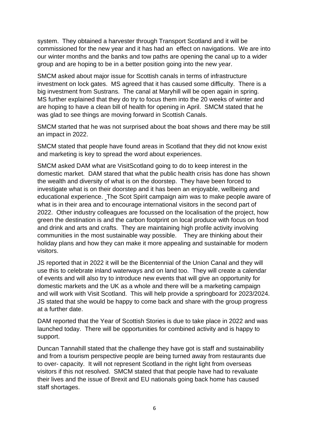system. They obtained a harvester through Transport Scotland and it will be commissioned for the new year and it has had an effect on navigations. We are into our winter months and the banks and tow paths are opening the canal up to a wider group and are hoping to be in a better position going into the new year.

SMCM asked about major issue for Scottish canals in terms of infrastructure investment on lock gates. MS agreed that it has caused some difficulty. There is a big investment from Sustrans. The canal at Maryhill will be open again in spring. MS further explained that they do try to focus them into the 20 weeks of winter and are hoping to have a clean bill of health for opening in April. SMCM stated that he was glad to see things are moving forward in Scottish Canals.

SMCM started that he was not surprised about the boat shows and there may be still an impact in 2022.

SMCM stated that people have found areas in Scotland that they did not know exist and marketing is key to spread the word about experiences.

SMCM asked DAM what are VisitScotland going to do to keep interest in the domestic market. DAM stared that what the public health crisis has done has shown the wealth and diversity of what is on the doorstep. They have been forced to investigate what is on their doorstep and it has been an enjoyable, wellbeing and educational experience. The Scot Spirit campaign aim was to make people aware of what is in their area and to encourage international visitors in the second part of 2022. Other industry colleagues are focussed on the localisation of the project, how green the destination is and the carbon footprint on local produce with focus on food and drink and arts and crafts. They are maintaining high profile activity involving communities in the most sustainable way possible. They are thinking about their holiday plans and how they can make it more appealing and sustainable for modern visitors.

JS reported that in 2022 it will be the Bicentennial of the Union Canal and they will use this to celebrate inland waterways and on land too. They will create a calendar of events and will also try to introduce new events that will give an opportunity for domestic markets and the UK as a whole and there will be a marketing campaign and will work with Visit Scotland. This will help provide a springboard for 2023/2024. JS stated that she would be happy to come back and share with the group progress at a further date.

DAM reported that the Year of Scottish Stories is due to take place in 2022 and was launched today. There will be opportunities for combined activity and is happy to support.

Duncan Tannahill stated that the challenge they have got is staff and sustainability and from a tourism perspective people are being turned away from restaurants due to over- capacity. It will not represent Scotland in the right light from overseas visitors if this not resolved. SMCM stated that that people have had to revaluate their lives and the issue of Brexit and EU nationals going back home has caused staff shortages.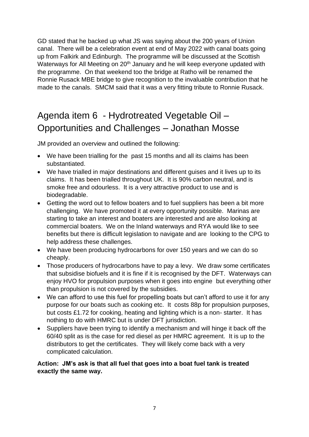GD stated that he backed up what JS was saying about the 200 years of Union canal. There will be a celebration event at end of May 2022 with canal boats going up from Falkirk and Edinburgh. The programme will be discussed at the Scottish Waterways for All Meeting on 20<sup>th</sup> January and he will keep everyone updated with the programme. On that weekend too the bridge at Ratho will be renamed the Ronnie Rusack MBE bridge to give recognition to the invaluable contribution that he made to the canals. SMCM said that it was a very fitting tribute to Ronnie Rusack.

## Agenda item 6 - Hydrotreated Vegetable Oil – Opportunities and Challenges – Jonathan Mosse

JM provided an overview and outlined the following:

- We have been trialling for the past 15 months and all its claims has been substantiated.
- We have trialled in major destinations and different guises and it lives up to its claims. It has been trialled throughout UK. It is 90% carbon neutral, and is smoke free and odourless. It is a very attractive product to use and is biodegradable.
- Getting the word out to fellow boaters and to fuel suppliers has been a bit more challenging. We have promoted it at every opportunity possible. Marinas are starting to take an interest and boaters are interested and are also looking at commercial boaters. We on the Inland waterways and RYA would like to see benefits but there is difficult legislation to navigate and are looking to the CPG to help address these challenges.
- We have been producing hydrocarbons for over 150 years and we can do so cheaply.
- Those producers of hydrocarbons have to pay a levy. We draw some certificates that subsidise biofuels and it is fine if it is recognised by the DFT. Waterways can enjoy HVO for propulsion purposes when it goes into engine but everything other than propulsion is not covered by the subsidies.
- We can afford to use this fuel for propelling boats but can't afford to use it for any purpose for our boats such as cooking etc. It costs 88p for propulsion purposes, but costs £1.72 for cooking, heating and lighting which is a non- starter. It has nothing to do with HMRC but is under DFT jurisdiction.
- Suppliers have been trying to identify a mechanism and will hinge it back off the 60/40 split as is the case for red diesel as per HMRC agreement. It is up to the distributors to get the certificates. They will likely come back with a very complicated calculation.

#### **Action: JM's ask is that all fuel that goes into a boat fuel tank is treated exactly the same way.**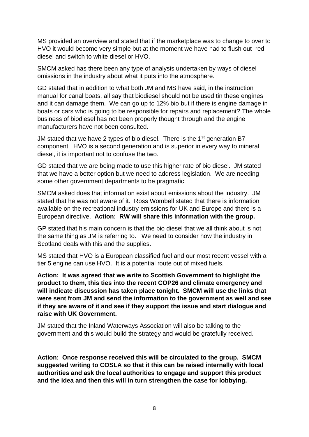MS provided an overview and stated that if the marketplace was to change to over to HVO it would become very simple but at the moment we have had to flush out red diesel and switch to white diesel or HVO.

SMCM asked has there been any type of analysis undertaken by ways of diesel omissions in the industry about what it puts into the atmosphere.

GD stated that in addition to what both JM and MS have said, in the instruction manual for canal boats, all say that biodiesel should not be used tin these engines and it can damage them. We can go up to 12% bio but if there is engine damage in boats or cars who is going to be responsible for repairs and replacement? The whole business of biodiesel has not been properly thought through and the engine manufacturers have not been consulted.

JM stated that we have 2 types of bio diesel. There is the  $1<sup>st</sup>$  generation B7 component. HVO is a second generation and is superior in every way to mineral diesel, it is important not to confuse the two.

GD stated that we are being made to use this higher rate of bio diesel. JM stated that we have a better option but we need to address legislation. We are needing some other government departments to be pragmatic.

SMCM asked does that information exist about emissions about the industry. JM stated that he was not aware of it. Ross Wombell stated that there is information available on the recreational industry emissions for UK and Europe and there is a European directive. **Action: RW will share this information with the group.**

GP stated that his main concern is that the bio diesel that we all think about is not the same thing as JM is referring to. We need to consider how the industry in Scotland deals with this and the supplies.

MS stated that HVO is a European classified fuel and our most recent vessel with a tier 5 engine can use HVO. It is a potential route out of mixed fuels.

**Action: It was agreed that we write to Scottish Government to highlight the product to them, this ties into the recent COP26 and climate emergency and will indicate discussion has taken place tonight. SMCM will use the links that were sent from JM and send the information to the government as well and see if they are aware of it and see if they support the issue and start dialogue and raise with UK Government.**

JM stated that the Inland Waterways Association will also be talking to the government and this would build the strategy and would be gratefully received.

**Action: Once response received this will be circulated to the group. SMCM suggested writing to COSLA so that it this can be raised internally with local authorities and ask the local authorities to engage and support this product and the idea and then this will in turn strengthen the case for lobbying.**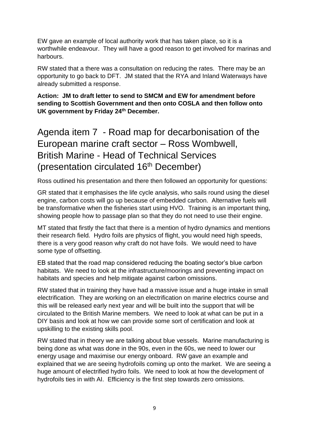EW gave an example of local authority work that has taken place, so it is a worthwhile endeavour. They will have a good reason to get involved for marinas and harbours.

RW stated that a there was a consultation on reducing the rates. There may be an opportunity to go back to DFT. JM stated that the RYA and Inland Waterways have already submitted a response.

**Action: JM to draft letter to send to SMCM and EW for amendment before sending to Scottish Government and then onto COSLA and then follow onto UK government by Friday 24th December.**

### Agenda item 7 - Road map for decarbonisation of the European marine craft sector – Ross Wombwell, British Marine - Head of Technical Services (presentation circulated 16<sup>th</sup> December)

Ross outlined his presentation and there then followed an opportunity for questions:

GR stated that it emphasises the life cycle analysis, who sails round using the diesel engine, carbon costs will go up because of embedded carbon. Alternative fuels will be transformative when the fisheries start using HVO. Training is an important thing, showing people how to passage plan so that they do not need to use their engine.

MT stated that firstly the fact that there is a mention of hydro dynamics and mentions their research field. Hydro foils are physics of flight, you would need high speeds, there is a very good reason why craft do not have foils. We would need to have some type of offsetting.

EB stated that the road map considered reducing the boating sector's blue carbon habitats. We need to look at the infrastructure/moorings and preventing impact on habitats and species and help mitigate against carbon omissions.

RW stated that in training they have had a massive issue and a huge intake in small electrification. They are working on an electrification on marine electrics course and this will be released early next year and will be built into the support that will be circulated to the British Marine members. We need to look at what can be put in a DIY basis and look at how we can provide some sort of certification and look at upskilling to the existing skills pool.

RW stated that in theory we are talking about blue vessels. Marine manufacturing is being done as what was done in the 90s, even in the 60s, we need to lower our energy usage and maximise our energy onboard. RW gave an example and explained that we are seeing hydrofoils coming up onto the market. We are seeing a huge amount of electrified hydro foils. We need to look at how the development of hydrofoils ties in with AI. Efficiency is the first step towards zero omissions.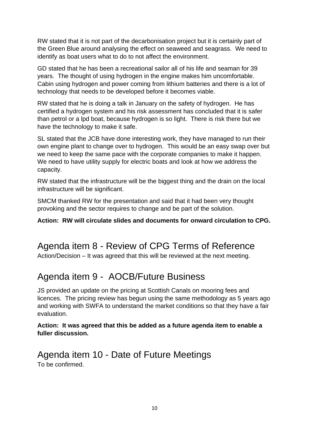RW stated that it is not part of the decarbonisation project but it is certainly part of the Green Blue around analysing the effect on seaweed and seagrass. We need to identify as boat users what to do to not affect the environment.

GD stated that he has been a recreational sailor all of his life and seaman for 39 years. The thought of using hydrogen in the engine makes him uncomfortable. Cabin using hydrogen and power coming from lithium batteries and there is a lot of technology that needs to be developed before it becomes viable.

RW stated that he is doing a talk in January on the safety of hydrogen. He has certified a hydrogen system and his risk assessment has concluded that it is safer than petrol or a lpd boat, because hydrogen is so light. There is risk there but we have the technology to make it safe.

SL stated that the JCB have done interesting work, they have managed to run their own engine plant to change over to hydrogen. This would be an easy swap over but we need to keep the same pace with the corporate companies to make it happen. We need to have utility supply for electric boats and look at how we address the capacity.

RW stated that the infrastructure will be the biggest thing and the drain on the local infrastructure will be significant.

SMCM thanked RW for the presentation and said that it had been very thought provoking and the sector requires to change and be part of the solution.

**Action: RW will circulate slides and documents for onward circulation to CPG.**

### Agenda item 8 - Review of CPG Terms of Reference

Action/Decision – It was agreed that this will be reviewed at the next meeting.

### Agenda item 9 - AOCB/Future Business

JS provided an update on the pricing at Scottish Canals on mooring fees and licences. The pricing review has begun using the same methodology as 5 years ago and working with SWFA to understand the market conditions so that they have a fair evaluation.

#### **Action: It was agreed that this be added as a future agenda item to enable a fuller discussion.**

### Agenda item 10 - Date of Future Meetings To be confirmed.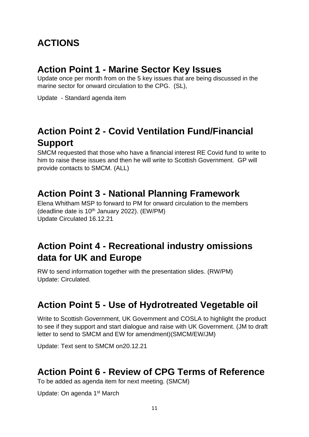### **ACTIONS**

### **Action Point 1 - Marine Sector Key Issues**

Update once per month from on the 5 key issues that are being discussed in the marine sector for onward circulation to the CPG. (SL),

Update - Standard agenda item

### **Action Point 2 - Covid Ventilation Fund/Financial Support**

SMCM requested that those who have a financial interest RE Covid fund to write to him to raise these issues and then he will write to Scottish Government. GP will provide contacts to SMCM. (ALL)

### **Action Point 3 - National Planning Framework**

Elena Whitham MSP to forward to PM for onward circulation to the members (deadline date is  $10<sup>th</sup>$  January 2022). (EW/PM) Update Circulated 16.12.21

### **Action Point 4 - Recreational industry omissions data for UK and Europe**

RW to send information together with the presentation slides. (RW/PM) Update: Circulated.

### **Action Point 5 - Use of Hydrotreated Vegetable oil**

Write to Scottish Government, UK Government and COSLA to highlight the product to see if they support and start dialogue and raise with UK Government. (JM to draft letter to send to SMCM and EW for amendment)(SMCM/EW/JM)

Update: Text sent to SMCM on20.12.21

### **Action Point 6 - Review of CPG Terms of Reference**

To be added as agenda item for next meeting. (SMCM)

Update: On agenda 1<sup>st</sup> March